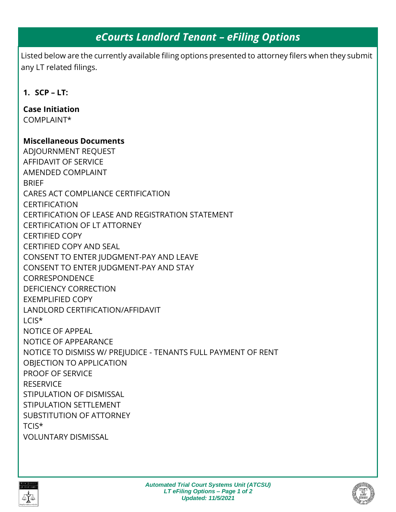# *eCourts Landlord Tenant – eFiling Options*

Listed below are the currently available filing options presented to attorney filers when they submit any LT related filings.

```
1. SCP – LT:
```
**Case Initiation** COMPLAINT\*

### **Miscellaneous Documents**

ADJOURNMENT REQUEST AFFIDAVIT OF SERVICE AMENDED COMPLAINT **BRIFF** CARES ACT COMPLIANCE CERTIFICATION CERTIFICATION CERTIFICATION OF LEASE AND REGISTRATION STATEMENT CERTIFICATION OF LT ATTORNEY CERTIFIED COPY CERTIFIED COPY AND SEAL CONSENT TO ENTER JUDGMENT-PAY AND LEAVE CONSENT TO ENTER JUDGMENT-PAY AND STAY CORRESPONDENCE DEFICIENCY CORRECTION EXEMPLIFIED COPY LANDLORD CERTIFICATION/AFFIDAVIT LCIS\* NOTICE OF APPEAL NOTICE OF APPEARANCE NOTICE TO DISMISS W/ PREJUDICE - TENANTS FULL PAYMENT OF RENT OBJECTION TO APPLICATION PROOF OF SERVICE **RESERVICE** STIPULATION OF DISMISSAL STIPULATION SETTLEMENT SUBSTITUTION OF ATTORNEY TCIS\* VOLUNTARY DISMISSAL